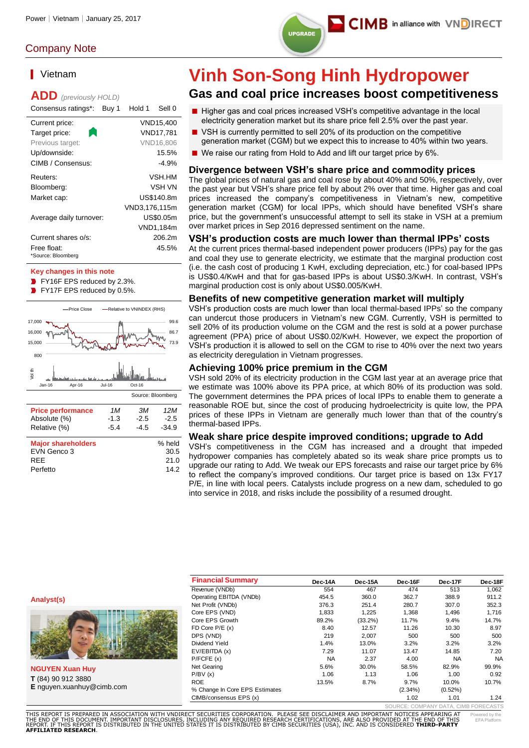## Company Note

## ■ Vietnam

**ADD** *(previously HOLD)*

| Consensus ratings*:     | Buy 1 | Hold 1        | Sell 0           |
|-------------------------|-------|---------------|------------------|
| Current price:          |       |               | VND15,400        |
| Target price:           |       |               | VND17.781        |
| Previous target:        |       |               | <b>VND16,806</b> |
| Up/downside:            |       |               | 15.5%            |
| CIMB / Consensus:       |       |               | $-4.9%$          |
| Reuters:                |       |               | VSH.HM           |
| Bloomberg:              |       |               | VSH VN           |
| Market cap:             |       |               | US\$140.8m       |
|                         |       | VND3,176,115m |                  |
| Average daily turnover: |       |               | US\$0.05m        |
|                         |       |               | VND1,184m        |
| Current shares o/s:     |       |               | 206.2m           |
| Free float:             |       |               | 45.5%            |
| *Source: Bloomberg      |       |               |                  |

### **Key changes in this note**

FY16F EPS reduced by 2.3%.

**FY17F EPS reduced by 0.5%.** 



| <b>Major shareholders</b> | % held |
|---------------------------|--------|
| EVN Genco 3               | 30.5   |
| <b>RFF</b>                | 21.0   |
| Perfetto                  | 14.2   |
|                           |        |

## **Vinh Son-Song Hinh Hydropower**

## **Gas and coal price increases boost competitiveness**

**CIMB** in alliance with VNDIRECT

- Higher gas and coal prices increased VSH's competitive advantage in the local electricity generation market but its share price fell 2.5% over the past year.
- VSH is currently permitted to sell 20% of its production on the competitive generation market (CGM) but we expect this to increase to 40% within two years.
- We raise our rating from Hold to Add and lift our target price by 6%.

### **Divergence between VSH's share price and commodity prices**

The global prices of natural gas and coal rose by about 40% and 50%, respectively, over the past year but VSH's share price fell by about 2% over that time. Higher gas and coal prices increased the company's competitiveness in Vietnam's new, competitive generation market (CGM) for local IPPs, which should have benefited VSH's share price, but the government's unsuccessful attempt to sell its stake in VSH at a premium over market prices in Sep 2016 depressed sentiment on the name.

### **VSH's production costs are much lower than thermal IPPs' costs**

At the current prices thermal-based independent power producers (IPPs) pay for the gas and coal they use to generate electricity, we estimate that the marginal production cost (i.e. the cash cost of producing 1 KwH, excluding depreciation, etc.) for coal-based IPPs is US\$0.4/KwH and that for gas-based IPPs is about US\$0.3/KwH. In contrast, VSH's marginal production cost is only about US\$0.005/KwH.

### **Benefits of new competitive generation market will multiply**

VSH's production costs are much lower than local thermal-based IPPs' so the company can undercut those producers in Vietnam's new CGM. Currently, VSH is permitted to sell 20% of its production volume on the CGM and the rest is sold at a power purchase agreement (PPA) price of about US\$0.02/KwH. However, we expect the proportion of VSH's production it is allowed to sell on the CGM to rise to 40% over the next two years as electricity deregulation in Vietnam progresses.

### **Achieving 100% price premium in the CGM**

VSH sold 20% of its electricity production in the CGM last year at an average price that we estimate was 100% above its PPA price, at which 80% of its production was sold. The government determines the PPA prices of local IPPs to enable them to generate a reasonable ROE but, since the cost of producing hydroelectricity is quite low, the PPA prices of these IPPs in Vietnam are generally much lower than that of the country's thermal-based IPPs.

### **Weak share price despite improved conditions; upgrade to Add**

VSH's competitiveness in the CGM has increased and a drought that impeded hydropower companies has completely abated so its weak share price prompts us to upgrade our rating to Add. We tweak our EPS forecasts and raise our target price by 6% to reflect the company's improved conditions. Our target price is based on 13x FY17 P/E, in line with local peers. Catalysts include progress on a new dam, scheduled to go into service in 2018, and risks include the possibility of a resumed drought.

**Analyst(s)**



**NGUYEN Xuan Huy T** (84) 90 912 3880 **E** nguyen.xuanhuy@cimb.com

| <b>Financial Summary</b>       | Dec-14A   | Dec-15A    | Dec-16F    | Dec-17F    | Dec-18F   |
|--------------------------------|-----------|------------|------------|------------|-----------|
| Revenue (VNDb)                 | 554       | 467        | 474        | 513        | 1,062     |
| Operating EBITDA (VNDb)        | 454.5     | 360.0      | 362.7      | 388.9      | 911.2     |
| Net Profit (VNDb)              | 376.3     | 251.4      | 280.7      | 307.0      | 352.3     |
| Core EPS (VND)                 | 1.833     | 1,225      | 1.368      | 1.496      | 1.716     |
| Core EPS Growth                | 89.2%     | $(33.2\%)$ | 11.7%      | 9.4%       | 14.7%     |
| $FD$ Core $P/E$ $(x)$          | 8.40      | 12.57      | 11.26      | 10.30      | 8.97      |
| DPS (VND)                      | 219       | 2.007      | 500        | 500        | 500       |
| Dividend Yield                 | 1.4%      | 13.0%      | 3.2%       | 3.2%       | 3.2%      |
| EV/EBITDA (x)                  | 7.29      | 11.07      | 13.47      | 14.85      | 7.20      |
| P/FCFE(x)                      | <b>NA</b> | 2.37       | 4.00       | <b>NA</b>  | <b>NA</b> |
| <b>Net Gearing</b>             | 5.6%      | 30.0%      | 58.5%      | 82.9%      | 99.9%     |
| P/BV(x)                        | 1.06      | 1.13       | 1.06       | 1.00       | 0.92      |
| <b>ROE</b>                     | 13.5%     | 8.7%       | 9.7%       | 10.0%      | 10.7%     |
| % Change In Core EPS Estimates |           |            | $(2.34\%)$ | $(0.52\%)$ |           |
| CIMB/consensus EPS (x)         |           |            | 1.02       | 1.01       | 1.24      |

ered by the CIMB FORECASTS

EFA Platform

.<br>THIS REPORT IS PREPARED IN ASSOCIATION WITH VNDIRECT SECURITIES CORPORATION. PLEASE SEE DISCLAIMER AND IMPORTANT NOTICES APPEARING AT<br>THE END OF THIS DOCUMENT. IMPORTANT DISCLOSURES, INCLUDING ANY REQUIRED RESEARCH CERT THE END OF THIS DOCUMENT. IMPORTANT DISCLOSURES, INCLUDING ANY REQUIRED RESEARCH CERTIFICATIONS, ARE ALSO PROVIDED AT THE END OF THIS<br>REPORT. IF THIS REPORT IS DISTRIBUTED IN THE UNITED STATES IT IS DISTRIBUTED BY CIMB SEC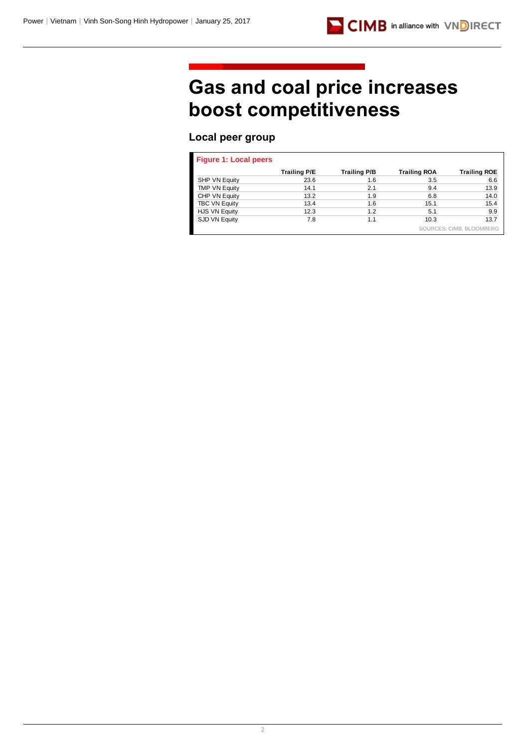

# **Gas and coal price increases boost competitiveness**

## **Local peer group**

| <b>Figure 1: Local peers</b> |                     |                     |                     |                          |
|------------------------------|---------------------|---------------------|---------------------|--------------------------|
|                              | <b>Trailing P/E</b> | <b>Trailing P/B</b> | <b>Trailing ROA</b> | <b>Trailing ROE</b>      |
| SHP VN Equity                | 23.6                | 1.6                 | 3.5                 | 6.6                      |
| TMP VN Equity                | 14.1                | 2.1                 | 9.4                 | 13.9                     |
| CHP VN Equity                | 13.2                | 1.9                 | 6.8                 | 14.0                     |
| <b>TBC VN Equity</b>         | 13.4                | 1.6                 | 15.1                | 15.4                     |
| HJS VN Equity                | 12.3                | 1.2                 | 5.1                 | 9.9                      |
| SJD VN Equity                | 7.8                 | 1.1                 | 10.3                | 13.7                     |
|                              |                     |                     |                     | SOURCES: CIMB. BLOOMBERG |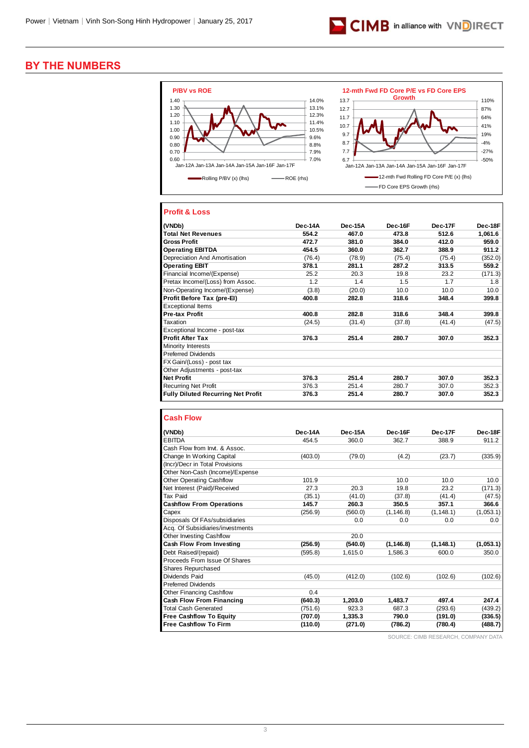

## **BY THE NUMBERS**



### **Profit & Loss**

| (VNDb)                                    | Dec-14A | Dec-15A | Dec-16F | Dec-17F | Dec-18F |
|-------------------------------------------|---------|---------|---------|---------|---------|
| <b>Total Net Revenues</b>                 | 554.2   | 467.0   | 473.8   | 512.6   | 1,061.6 |
| <b>Gross Profit</b>                       | 472.7   | 381.0   | 384.0   | 412.0   | 959.0   |
| <b>Operating EBITDA</b>                   | 454.5   | 360.0   | 362.7   | 388.9   | 911.2   |
| Depreciation And Amortisation             | (76.4)  | (78.9)  | (75.4)  | (75.4)  | (352.0) |
| <b>Operating EBIT</b>                     | 378.1   | 281.1   | 287.2   | 313.5   | 559.2   |
| Financial Income/(Expense)                | 25.2    | 20.3    | 19.8    | 23.2    | (171.3) |
| Pretax Income/(Loss) from Assoc.          | 1.2     | 1.4     | 1.5     | 1.7     | 1.8     |
| Non-Operating Income/(Expense)            | (3.8)   | (20.0)  | 10.0    | 10.0    | 10.0    |
| Profit Before Tax (pre-EI)                | 400.8   | 282.8   | 318.6   | 348.4   | 399.8   |
| <b>Exceptional Items</b>                  |         |         |         |         |         |
| Pre-tax Profit                            | 400.8   | 282.8   | 318.6   | 348.4   | 399.8   |
| Taxation                                  | (24.5)  | (31.4)  | (37.8)  | (41.4)  | (47.5)  |
| Exceptional Income - post-tax             |         |         |         |         |         |
| <b>Profit After Tax</b>                   | 376.3   | 251.4   | 280.7   | 307.0   | 352.3   |
| <b>Minority Interests</b>                 |         |         |         |         |         |
| <b>Preferred Dividends</b>                |         |         |         |         |         |
| FX Gain/(Loss) - post tax                 |         |         |         |         |         |
| Other Adjustments - post-tax              |         |         |         |         |         |
| <b>Net Profit</b>                         | 376.3   | 251.4   | 280.7   | 307.0   | 352.3   |
| <b>Recurring Net Profit</b>               | 376.3   | 251.4   | 280.7   | 307.0   | 352.3   |
| <b>Fully Diluted Recurring Net Profit</b> | 376.3   | 251.4   | 280.7   | 307.0   | 352.3   |

## **Cash Flow**

| (VNDb)                           | Dec-14A | Dec-15A | Dec-16F    | Dec-17F    | Dec-18F   |
|----------------------------------|---------|---------|------------|------------|-----------|
| <b>EBITDA</b>                    | 454.5   | 360.0   | 362.7      | 388.9      | 911.2     |
| Cash Flow from Invt. & Assoc.    |         |         |            |            |           |
| Change In Working Capital        | (403.0) | (79.0)  | (4.2)      | (23.7)     | (335.9)   |
| (Incr)/Decr in Total Provisions  |         |         |            |            |           |
| Other Non-Cash (Income)/Expense  |         |         |            |            |           |
| <b>Other Operating Cashflow</b>  | 101.9   |         | 10.0       | 10.0       | 10.0      |
| Net Interest (Paid)/Received     | 27.3    | 20.3    | 19.8       | 23.2       | (171.3)   |
| <b>Tax Paid</b>                  | (35.1)  | (41.0)  | (37.8)     | (41.4)     | (47.5)    |
| <b>Cashflow From Operations</b>  | 145.7   | 260.3   | 350.5      | 357.1      | 366.6     |
| Capex                            | (256.9) | (560.0) | (1.146.8)  | (1, 148.1) | (1,053.1) |
| Disposals Of FAs/subsidiaries    |         | 0.0     | 0.0        | 0.0        | 0.0       |
| Acq. Of Subsidiaries/investments |         |         |            |            |           |
| <b>Other Investing Cashflow</b>  |         | 20.0    |            |            |           |
| Cash Flow From Investing         | (256.9) | (540.0) | (1, 146.8) | (1, 148.1) | (1,053.1) |
| Debt Raised/(repaid)             | (595.8) | 1,615.0 | 1,586.3    | 600.0      | 350.0     |
| Proceeds From Issue Of Shares    |         |         |            |            |           |
| Shares Repurchased               |         |         |            |            |           |
| Dividends Paid                   | (45.0)  | (412.0) | (102.6)    | (102.6)    | (102.6)   |
| <b>Preferred Dividends</b>       |         |         |            |            |           |
| <b>Other Financing Cashflow</b>  | 0.4     |         |            |            |           |
| Cash Flow From Financing         | (640.3) | 1,203.0 | 1,483.7    | 497.4      | 247.4     |
| <b>Total Cash Generated</b>      | (751.6) | 923.3   | 687.3      | (293.6)    | (439.2)   |
| <b>Free Cashflow To Equity</b>   | (707.0) | 1.335.3 | 790.0      | (191.0)    | (336.5)   |
| <b>Free Cashflow To Firm</b>     | (110.0) | (271.0) | (786.2)    | (780.4)    | (488.7)   |

SOURCE: CIMB RESEARCH, COMPANY DATA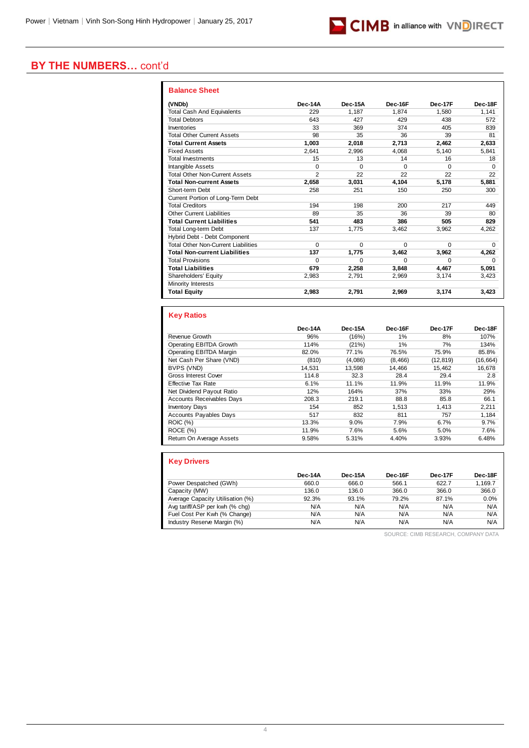

## **BY THE NUMBERS…** cont'd

| <b>Balance Sheet</b>                  |                |          |          |          |          |
|---------------------------------------|----------------|----------|----------|----------|----------|
| (VNDb)                                | Dec-14A        | Dec-15A  | Dec-16F  | Dec-17F  | Dec-18F  |
| <b>Total Cash And Equivalents</b>     | 229            | 1.187    | 1.874    | 1.580    | 1.141    |
| <b>Total Debtors</b>                  | 643            | 427      | 429      | 438      | 572      |
| Inventories                           | 33             | 369      | 374      | 405      | 839      |
| <b>Total Other Current Assets</b>     | 98             | 35       | 36       | 39       | 81       |
| <b>Total Current Assets</b>           | 1,003          | 2,018    | 2,713    | 2,462    | 2,633    |
| <b>Fixed Assets</b>                   | 2.641          | 2.996    | 4.068    | 5,140    | 5,841    |
| <b>Total Investments</b>              | 15             | 13       | 14       | 16       | 18       |
| Intangible Assets                     | 0              | $\Omega$ | $\Omega$ | $\Omega$ | 0        |
| <b>Total Other Non-Current Assets</b> | $\overline{2}$ | 22       | 22       | 22       | 22       |
| <b>Total Non-current Assets</b>       | 2.658          | 3.031    | 4.104    | 5.178    | 5,881    |
| Short-term Debt                       | 258            | 251      | 150      | 250      | 300      |
| Current Portion of Long-Term Debt     |                |          |          |          |          |
| <b>Total Creditors</b>                | 194            | 198      | 200      | 217      | 449      |
| <b>Other Current Liabilities</b>      | 89             | 35       | 36       | 39       | 80       |
| <b>Total Current Liabilities</b>      | 541            | 483      | 386      | 505      | 829      |
| Total Long-term Debt                  | 137            | 1.775    | 3.462    | 3.962    | 4.262    |
| Hybrid Debt - Debt Component          |                |          |          |          |          |
| Total Other Non-Current Liabilities   | $\Omega$       | $\Omega$ | $\Omega$ | $\Omega$ | $\Omega$ |
| <b>Total Non-current Liabilities</b>  | 137            | 1,775    | 3.462    | 3,962    | 4,262    |
| <b>Total Provisions</b>               | 0              | $\Omega$ | $\Omega$ | $\Omega$ | 0        |
| <b>Total Liabilities</b>              | 679            | 2,258    | 3.848    | 4.467    | 5,091    |
| Shareholders' Equity                  | 2.983          | 2,791    | 2,969    | 3.174    | 3,423    |
| Minority Interests                    |                |          |          |          |          |
| <b>Total Equity</b>                   | 2.983          | 2.791    | 2.969    | 3.174    | 3.423    |

#### **Key Ratios Dec-14A Dec-15A Dec-16F Dec-17F Dec-18F** Revenue Growth 96% (16%) 1% 8% 107%<br>
Operating EBITDA Growth 114% (21%) 1% 7% 134% Operating EBITDA Growth 114% (21%) 1% 7% 134% Operating EBITDA Margin 82.0% 77.1% 76.5% 75.9% 85.8% Net Cash Per Share (VND) (810) (4,086) (8,466) (12,819) (16,664) BVPS (VND) 14,531 13,598 14,466 15,462 16,678 Gross Interest Cover 114.8 32.3 28.4 29.4 2.8<br>
Effective Tax Rate 6.1% 11.1% 11.9% 11.9% 11.9% 11.9% Effective Tax Rate Net Dividend Payout Ratio **12%** 164% 37% 33% 29% 29%<br>
Accounts Receivables Days 208.3 219.1 88.8 85.8 66.1 Accounts Receivables Days 208.3 219.1 88.8 85.8 66.1<br>
Inventory Days 208.3 154 852 1,513 1,413 2,211 Inventory Days 154 852 1,513 1,413 2,211<br>Accounts Payables Days 517 832 811 757 1,184 Accounts Payables Days 517 832 811 757 ROIC (%) 13.3% 9.0% 7.9% 6.7% 9.7% 9.7% ROCE (%) 11.9% 7.6% 5.6% 5.0% 7.6% Return On Average Assets 9.58% 5.31% 4.40% 3.93% 6.48%

| <b>Key Drivers</b>               |         |         |         |         |         |
|----------------------------------|---------|---------|---------|---------|---------|
|                                  | Dec-14A | Dec-15A | Dec-16F | Dec-17F | Dec-18F |
| Power Despatched (GWh)           | 660.0   | 666.0   | 566.1   | 622.7   | 1.169.7 |
| Capacity (MW)                    | 136.0   | 136.0   | 366.0   | 366.0   | 366.0   |
| Average Capacity Utilisation (%) | 92.3%   | 93.1%   | 79.2%   | 87.1%   | 0.0%    |
| Avg tariff/ASP per kwh (% chg)   | N/A     | N/A     | N/A     | N/A     | N/A     |
| Fuel Cost Per Kwh (% Change)     | N/A     | N/A     | N/A     | N/A     | N/A     |
| Industry Reserve Margin (%)      | N/A     | N/A     | N/A     | N/A     | N/A     |

SOURCE: CIMB RESEARCH, COMPANY DATA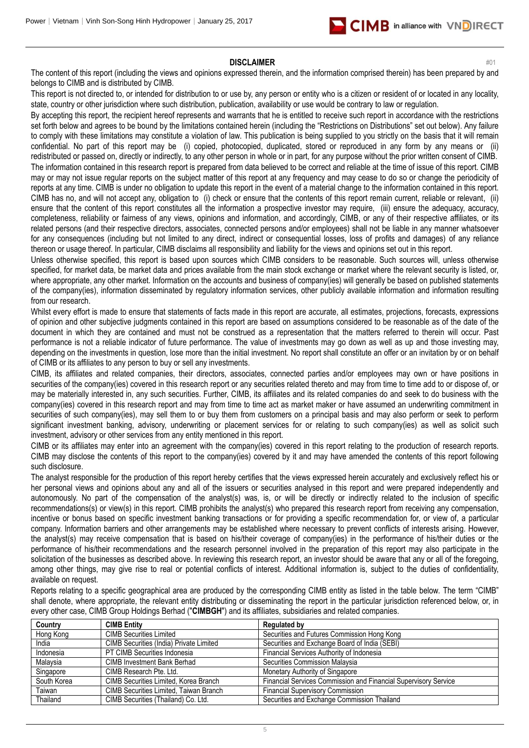

### **DISCLAIMER** #01

The content of this report (including the views and opinions expressed therein, and the information comprised therein) has been prepared by and belongs to CIMB and is distributed by CIMB.

This report is not directed to, or intended for distribution to or use by, any person or entity who is a citizen or resident of or located in any locality, state, country or other jurisdiction where such distribution, publication, availability or use would be contrary to law or regulation.

By accepting this report, the recipient hereof represents and warrants that he is entitled to receive such report in accordance with the restrictions set forth below and agrees to be bound by the limitations contained herein (including the "Restrictions on Distributions" set out below). Any failure to comply with these limitations may constitute a violation of law. This publication is being supplied to you strictly on the basis that it will remain confidential. No part of this report may be (i) copied, photocopied, duplicated, stored or reproduced in any form by any means or (ii) redistributed or passed on, directly or indirectly, to any other person in whole or in part, for any purpose without the prior written consent of CIMB. The information contained in this research report is prepared from data believed to be correct and reliable at the time of issue of this report. CIMB may or may not issue regular reports on the subject matter of this report at any frequency and may cease to do so or change the periodicity of reports at any time. CIMB is under no obligation to update this report in the event of a material change to the information contained in this report. CIMB has no, and will not accept any, obligation to (i) check or ensure that the contents of this report remain current, reliable or relevant, (ii) ensure that the content of this report constitutes all the information a prospective investor may require, (iii) ensure the adequacy, accuracy, completeness, reliability or fairness of any views, opinions and information, and accordingly, CIMB, or any of their respective affiliates, or its related persons (and their respective directors, associates, connected persons and/or employees) shall not be liable in any manner whatsoever for any consequences (including but not limited to any direct, indirect or consequential losses, loss of profits and damages) of any reliance thereon or usage thereof. In particular, CIMB disclaims all responsibility and liability for the views and opinions set out in this report.

Unless otherwise specified, this report is based upon sources which CIMB considers to be reasonable. Such sources will, unless otherwise specified, for market data, be market data and prices available from the main stock exchange or market where the relevant security is listed, or, where appropriate, any other market. Information on the accounts and business of company(ies) will generally be based on published statements of the company(ies), information disseminated by regulatory information services, other publicly available information and information resulting from our research.

Whilst every effort is made to ensure that statements of facts made in this report are accurate, all estimates, projections, forecasts, expressions of opinion and other subjective judgments contained in this report are based on assumptions considered to be reasonable as of the date of the document in which they are contained and must not be construed as a representation that the matters referred to therein will occur. Past performance is not a reliable indicator of future performance. The value of investments may go down as well as up and those investing may, depending on the investments in question, lose more than the initial investment. No report shall constitute an offer or an invitation by or on behalf of CIMB or its affiliates to any person to buy or sell any investments.

CIMB, its affiliates and related companies, their directors, associates, connected parties and/or employees may own or have positions in securities of the company(ies) covered in this research report or any securities related thereto and may from time to time add to or dispose of, or may be materially interested in, any such securities. Further, CIMB, its affiliates and its related companies do and seek to do business with the company(ies) covered in this research report and may from time to time act as market maker or have assumed an underwriting commitment in securities of such company(ies), may sell them to or buy them from customers on a principal basis and may also perform or seek to perform significant investment banking, advisory, underwriting or placement services for or relating to such company(ies) as well as solicit such investment, advisory or other services from any entity mentioned in this report.

CIMB or its affiliates may enter into an agreement with the company(ies) covered in this report relating to the production of research reports. CIMB may disclose the contents of this report to the company(ies) covered by it and may have amended the contents of this report following such disclosure.

The analyst responsible for the production of this report hereby certifies that the views expressed herein accurately and exclusively reflect his or her personal views and opinions about any and all of the issuers or securities analysed in this report and were prepared independently and autonomously. No part of the compensation of the analyst(s) was, is, or will be directly or indirectly related to the inclusion of specific recommendations(s) or view(s) in this report. CIMB prohibits the analyst(s) who prepared this research report from receiving any compensation, incentive or bonus based on specific investment banking transactions or for providing a specific recommendation for, or view of, a particular company. Information barriers and other arrangements may be established where necessary to prevent conflicts of interests arising. However, the analyst(s) may receive compensation that is based on his/their coverage of company(ies) in the performance of his/their duties or the performance of his/their recommendations and the research personnel involved in the preparation of this report may also participate in the solicitation of the businesses as described above. In reviewing this research report, an investor should be aware that any or all of the foregoing, among other things, may give rise to real or potential conflicts of interest. Additional information is, subject to the duties of confidentiality, available on request.

Reports relating to a specific geographical area are produced by the corresponding CIMB entity as listed in the table below. The term "CIMB" shall denote, where appropriate, the relevant entity distributing or disseminating the report in the particular jurisdiction referenced below, or, in every other case, CIMB Group Holdings Berhad ("**CIMBGH**") and its affiliates, subsidiaries and related companies.

| Country     | <b>CIMB Entity</b>                      | <b>Regulated by</b>                                             |
|-------------|-----------------------------------------|-----------------------------------------------------------------|
| Hong Kong   | <b>CIMB Securities Limited</b>          | Securities and Futures Commission Hong Kong                     |
| India       | CIMB Securities (India) Private Limited | Securities and Exchange Board of India (SEBI)                   |
| Indonesia   | PT CIMB Securities Indonesia            | Financial Services Authority of Indonesia                       |
| Malavsia    | <b>CIMB Investment Bank Berhad</b>      | Securities Commission Malaysia                                  |
| Singapore   | CIMB Research Pte. Ltd.                 | Monetary Authority of Singapore                                 |
| South Korea | CIMB Securities Limited, Korea Branch   | Financial Services Commission and Financial Supervisory Service |
| Taiwan      | CIMB Securities Limited, Taiwan Branch  | <b>Financial Supervisory Commission</b>                         |
| Thailand    | CIMB Securities (Thailand) Co. Ltd.     | Securities and Exchange Commission Thailand                     |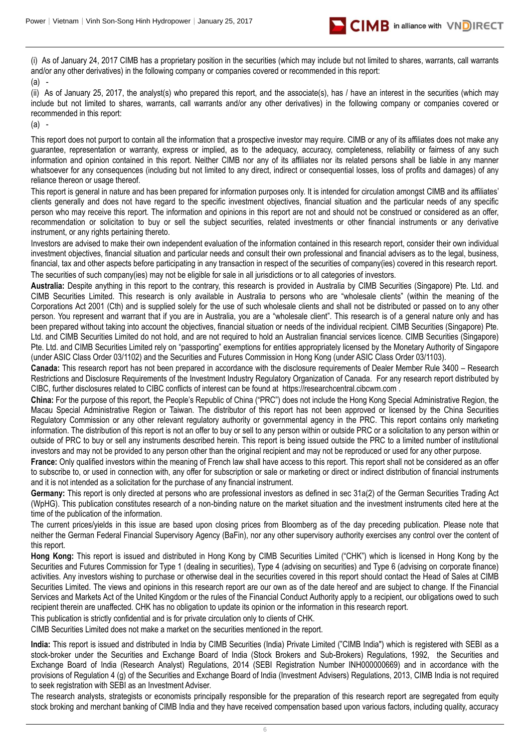

(i) As of January 24, 2017 CIMB has a proprietary position in the securities (which may include but not limited to shares, warrants, call warrants and/or any other derivatives) in the following company or companies covered or recommended in this report:

(a) -

(ii) As of January 25, 2017, the analyst(s) who prepared this report, and the associate(s), has / have an interest in the securities (which may include but not limited to shares, warrants, call warrants and/or any other derivatives) in the following company or companies covered or recommended in this report:

(a) -

This report does not purport to contain all the information that a prospective investor may require. CIMB or any of its affiliates does not make any guarantee, representation or warranty, express or implied, as to the adequacy, accuracy, completeness, reliability or fairness of any such information and opinion contained in this report. Neither CIMB nor any of its affiliates nor its related persons shall be liable in any manner whatsoever for any consequences (including but not limited to any direct, indirect or consequential losses, loss of profits and damages) of any reliance thereon or usage thereof.

This report is general in nature and has been prepared for information purposes only. It is intended for circulation amongst CIMB and its affiliates' clients generally and does not have regard to the specific investment objectives, financial situation and the particular needs of any specific person who may receive this report. The information and opinions in this report are not and should not be construed or considered as an offer, recommendation or solicitation to buy or sell the subject securities, related investments or other financial instruments or any derivative instrument, or any rights pertaining thereto.

Investors are advised to make their own independent evaluation of the information contained in this research report, consider their own individual investment objectives, financial situation and particular needs and consult their own professional and financial advisers as to the legal, business, financial, tax and other aspects before participating in any transaction in respect of the securities of company(ies) covered in this research report. The securities of such company(ies) may not be eligible for sale in all jurisdictions or to all categories of investors.

**Australia:** Despite anything in this report to the contrary, this research is provided in Australia by CIMB Securities (Singapore) Pte. Ltd. and CIMB Securities Limited. This research is only available in Australia to persons who are "wholesale clients" (within the meaning of the Corporations Act 2001 (Cth) and is supplied solely for the use of such wholesale clients and shall not be distributed or passed on to any other person. You represent and warrant that if you are in Australia, you are a "wholesale client". This research is of a general nature only and has been prepared without taking into account the objectives, financial situation or needs of the individual recipient. CIMB Securities (Singapore) Pte. Ltd. and CIMB Securities Limited do not hold, and are not required to hold an Australian financial services licence. CIMB Securities (Singapore) Pte. Ltd. and CIMB Securities Limited rely on "passporting" exemptions for entities appropriately licensed by the Monetary Authority of Singapore (under ASIC Class Order 03/1102) and the Securities and Futures Commission in Hong Kong (under ASIC Class Order 03/1103).

**Canada:** This research report has not been prepared in accordance with the disclosure requirements of Dealer Member Rule 3400 – Research Restrictions and Disclosure Requirements of the Investment Industry Regulatory Organization of Canada. For any research report distributed by CIBC, further disclosures related to CIBC conflicts of interest can be found at https://researchcentral.cibcwm.com .

**China:** For the purpose of this report, the People's Republic of China ("PRC") does not include the Hong Kong Special Administrative Region, the Macau Special Administrative Region or Taiwan. The distributor of this report has not been approved or licensed by the China Securities Regulatory Commission or any other relevant regulatory authority or governmental agency in the PRC. This report contains only marketing information. The distribution of this report is not an offer to buy or sell to any person within or outside PRC or a solicitation to any person within or outside of PRC to buy or sell any instruments described herein. This report is being issued outside the PRC to a limited number of institutional investors and may not be provided to any person other than the original recipient and may not be reproduced or used for any other purpose.

France: Only qualified investors within the meaning of French law shall have access to this report. This report shall not be considered as an offer to subscribe to, or used in connection with, any offer for subscription or sale or marketing or direct or indirect distribution of financial instruments and it is not intended as a solicitation for the purchase of any financial instrument.

**Germany:** This report is only directed at persons who are professional investors as defined in sec 31a(2) of the German Securities Trading Act (WpHG). This publication constitutes research of a non-binding nature on the market situation and the investment instruments cited here at the time of the publication of the information.

The current prices/yields in this issue are based upon closing prices from Bloomberg as of the day preceding publication. Please note that neither the German Federal Financial Supervisory Agency (BaFin), nor any other supervisory authority exercises any control over the content of this report.

**Hong Kong:** This report is issued and distributed in Hong Kong by CIMB Securities Limited ("CHK") which is licensed in Hong Kong by the Securities and Futures Commission for Type 1 (dealing in securities), Type 4 (advising on securities) and Type 6 (advising on corporate finance) activities. Any investors wishing to purchase or otherwise deal in the securities covered in this report should contact the Head of Sales at CIMB Securities Limited. The views and opinions in this research report are our own as of the date hereof and are subject to change. If the Financial Services and Markets Act of the United Kingdom or the rules of the Financial Conduct Authority apply to a recipient, our obligations owed to such recipient therein are unaffected. CHK has no obligation to update its opinion or the information in this research report.

This publication is strictly confidential and is for private circulation only to clients of CHK.

CIMB Securities Limited does not make a market on the securities mentioned in the report.

**India:** This report is issued and distributed in India by CIMB Securities (India) Private Limited ("CIMB India") which is registered with SEBI as a stock-broker under the Securities and Exchange Board of India (Stock Brokers and Sub-Brokers) Regulations, 1992, the Securities and Exchange Board of India (Research Analyst) Regulations, 2014 (SEBI Registration Number INH000000669) and in accordance with the provisions of Regulation 4 (g) of the Securities and Exchange Board of India (Investment Advisers) Regulations, 2013, CIMB India is not required to seek registration with SEBI as an Investment Adviser.

The research analysts, strategists or economists principally responsible for the preparation of this research report are segregated from equity stock broking and merchant banking of CIMB India and they have received compensation based upon various factors, including quality, accuracy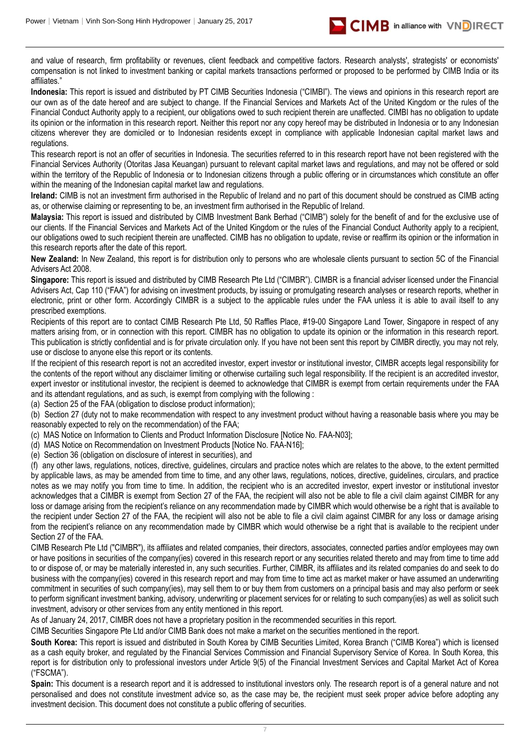

and value of research, firm profitability or revenues, client feedback and competitive factors. Research analysts', strategists' or economists' compensation is not linked to investment banking or capital markets transactions performed or proposed to be performed by CIMB India or its affiliates."

**Indonesia:** This report is issued and distributed by PT CIMB Securities Indonesia ("CIMBI"). The views and opinions in this research report are our own as of the date hereof and are subject to change. If the Financial Services and Markets Act of the United Kingdom or the rules of the Financial Conduct Authority apply to a recipient, our obligations owed to such recipient therein are unaffected. CIMBI has no obligation to update its opinion or the information in this research report. Neither this report nor any copy hereof may be distributed in Indonesia or to any Indonesian citizens wherever they are domiciled or to Indonesian residents except in compliance with applicable Indonesian capital market laws and regulations.

This research report is not an offer of securities in Indonesia. The securities referred to in this research report have not been registered with the Financial Services Authority (Otoritas Jasa Keuangan) pursuant to relevant capital market laws and regulations, and may not be offered or sold within the territory of the Republic of Indonesia or to Indonesian citizens through a public offering or in circumstances which constitute an offer within the meaning of the Indonesian capital market law and regulations.

**Ireland:** CIMB is not an investment firm authorised in the Republic of Ireland and no part of this document should be construed as CIMB acting as, or otherwise claiming or representing to be, an investment firm authorised in the Republic of Ireland.

**Malaysia:** This report is issued and distributed by CIMB Investment Bank Berhad ("CIMB") solely for the benefit of and for the exclusive use of our clients. If the Financial Services and Markets Act of the United Kingdom or the rules of the Financial Conduct Authority apply to a recipient, our obligations owed to such recipient therein are unaffected. CIMB has no obligation to update, revise or reaffirm its opinion or the information in this research reports after the date of this report.

**New Zealand:** In New Zealand, this report is for distribution only to persons who are wholesale clients pursuant to section 5C of the Financial Advisers Act 2008.

**Singapore:** This report is issued and distributed by CIMB Research Pte Ltd ("CIMBR"). CIMBR is a financial adviser licensed under the Financial Advisers Act, Cap 110 ("FAA") for advising on investment products, by issuing or promulgating research analyses or research reports, whether in electronic, print or other form. Accordingly CIMBR is a subject to the applicable rules under the FAA unless it is able to avail itself to any prescribed exemptions.

Recipients of this report are to contact CIMB Research Pte Ltd, 50 Raffles Place, #19-00 Singapore Land Tower, Singapore in respect of any matters arising from, or in connection with this report. CIMBR has no obligation to update its opinion or the information in this research report. This publication is strictly confidential and is for private circulation only. If you have not been sent this report by CIMBR directly, you may not rely, use or disclose to anyone else this report or its contents.

If the recipient of this research report is not an accredited investor, expert investor or institutional investor, CIMBR accepts legal responsibility for the contents of the report without any disclaimer limiting or otherwise curtailing such legal responsibility. If the recipient is an accredited investor, expert investor or institutional investor, the recipient is deemed to acknowledge that CIMBR is exempt from certain requirements under the FAA and its attendant regulations, and as such, is exempt from complying with the following :

(a) Section 25 of the FAA (obligation to disclose product information);

(b) Section 27 (duty not to make recommendation with respect to any investment product without having a reasonable basis where you may be reasonably expected to rely on the recommendation) of the FAA;

(c) MAS Notice on Information to Clients and Product Information Disclosure [Notice No. FAA-N03];

(d) MAS Notice on Recommendation on Investment Products [Notice No. FAA-N16];

(e) Section 36 (obligation on disclosure of interest in securities), and

(f) any other laws, regulations, notices, directive, guidelines, circulars and practice notes which are relates to the above, to the extent permitted by applicable laws, as may be amended from time to time, and any other laws, regulations, notices, directive, guidelines, circulars, and practice notes as we may notify you from time to time. In addition, the recipient who is an accredited investor, expert investor or institutional investor acknowledges that a CIMBR is exempt from Section 27 of the FAA, the recipient will also not be able to file a civil claim against CIMBR for any loss or damage arising from the recipient's reliance on any recommendation made by CIMBR which would otherwise be a right that is available to the recipient under Section 27 of the FAA, the recipient will also not be able to file a civil claim against CIMBR for any loss or damage arising from the recipient's reliance on any recommendation made by CIMBR which would otherwise be a right that is available to the recipient under Section 27 of the FAA.

CIMB Research Pte Ltd ("CIMBR"), its affiliates and related companies, their directors, associates, connected parties and/or employees may own or have positions in securities of the company(ies) covered in this research report or any securities related thereto and may from time to time add to or dispose of, or may be materially interested in, any such securities. Further, CIMBR, its affiliates and its related companies do and seek to do business with the company(ies) covered in this research report and may from time to time act as market maker or have assumed an underwriting commitment in securities of such company(ies), may sell them to or buy them from customers on a principal basis and may also perform or seek to perform significant investment banking, advisory, underwriting or placement services for or relating to such company(ies) as well as solicit such investment, advisory or other services from any entity mentioned in this report.

As of January 24, 2017, CIMBR does not have a proprietary position in the recommended securities in this report.

CIMB Securities Singapore Pte Ltd and/or CIMB Bank does not make a market on the securities mentioned in the report.

**South Korea:** This report is issued and distributed in South Korea by CIMB Securities Limited, Korea Branch ("CIMB Korea") which is licensed as a cash equity broker, and regulated by the Financial Services Commission and Financial Supervisory Service of Korea. In South Korea, this report is for distribution only to professional investors under Article 9(5) of the Financial Investment Services and Capital Market Act of Korea ("FSCMA").

**Spain:** This document is a research report and it is addressed to institutional investors only. The research report is of a general nature and not personalised and does not constitute investment advice so, as the case may be, the recipient must seek proper advice before adopting any investment decision. This document does not constitute a public offering of securities.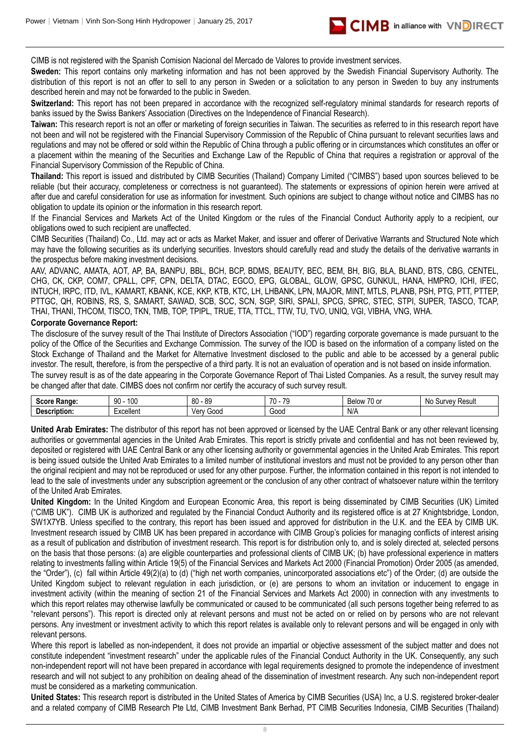

CIMB is not registered with the Spanish Comision Nacional del Mercado de Valores to provide investment services.

**Sweden:** This report contains only marketing information and has not been approved by the Swedish Financial Supervisory Authority. The distribution of this report is not an offer to sell to any person in Sweden or a solicitation to any person in Sweden to buy any instruments described herein and may not be forwarded to the public in Sweden.

Switzerland: This report has not been prepared in accordance with the recognized self-regulatory minimal standards for research reports of banks issued by the Swiss Bankers' Association (Directives on the Independence of Financial Research).

Taiwan: This research report is not an offer or marketing of foreign securities in Taiwan. The securities as referred to in this research report have not been and will not be registered with the Financial Supervisory Commission of the Republic of China pursuant to relevant securities laws and regulations and may not be offered or sold within the Republic of China through a public offering or in circumstances which constitutes an offer or a placement within the meaning of the Securities and Exchange Law of the Republic of China that requires a registration or approval of the Financial Supervisory Commission of the Republic of China.

**Thailand:** This report is issued and distributed by CIMB Securities (Thailand) Company Limited ("CIMBS") based upon sources believed to be reliable (but their accuracy, completeness or correctness is not guaranteed). The statements or expressions of opinion herein were arrived at after due and careful consideration for use as information for investment. Such opinions are subject to change without notice and CIMBS has no obligation to update its opinion or the information in this research report.

If the Financial Services and Markets Act of the United Kingdom or the rules of the Financial Conduct Authority apply to a recipient, our obligations owed to such recipient are unaffected.

CIMB Securities (Thailand) Co., Ltd. may act or acts as Market Maker, and issuer and offerer of Derivative Warrants and Structured Note which may have the following securities as its underlying securities. Investors should carefully read and study the details of the derivative warrants in the prospectus before making investment decisions.

AAV, ADVANC, AMATA, AOT, AP, BA, BANPU, BBL, BCH, BCP, BDMS, BEAUTY, BEC, BEM, BH, BIG, BLA, BLAND, BTS, CBG, CENTEL, CHG, CK, CKP, COM7, CPALL, CPF, CPN, DELTA, DTAC, EGCO, EPG, GLOBAL, GLOW, GPSC, GUNKUL, HANA, HMPRO, ICHI, IFEC, INTUCH, IRPC, ITD, IVL, KAMART, KBANK, KCE, KKP, KTB, KTC, LH, LHBANK, LPN, MAJOR, MINT, MTLS, PLANB, PSH, PTG, PTT, PTTEP, PTTGC, QH, ROBINS, RS, S, SAMART, SAWAD, SCB, SCC, SCN, SGP, SIRI, SPALI, SPCG, SPRC, STEC, STPI, SUPER, TASCO, TCAP, THAI, THANI, THCOM, TISCO, TKN, TMB, TOP, TPIPL, TRUE, TTA, TTCL, TTW, TU, TVO, UNIQ, VGI, VIBHA, VNG, WHA.

### **Corporate Governance Report:**

The disclosure of the survey result of the Thai Institute of Directors Association ("IOD") regarding corporate governance is made pursuant to the policy of the Office of the Securities and Exchange Commission. The survey of the IOD is based on the information of a company listed on the Stock Exchange of Thailand and the Market for Alternative Investment disclosed to the public and able to be accessed by a general public investor. The result, therefore, is from the perspective of a third party. It is not an evaluation of operation and is not based on inside information.

The survey result is as of the date appearing in the Corporate Governance Report of Thai Listed Companies. As a result, the survey result may be changed after that date. CIMBS does not confirm nor certify the accuracy of such survey result.

| $S_{max}$<br>----<br>Randel | 100<br>۵n<br>1 U U<br>JU | .on<br>or<br>೦೭<br>υv | 70<br>$\rightarrow$<br>. | $\sim$ $\sim$<br>Beld<br>$\cdot$ $\sim$<br>эw<br>ו טש | Resul<br>NIC<br>urve: |
|-----------------------------|--------------------------|-----------------------|--------------------------|-------------------------------------------------------|-----------------------|
| Dе<br>ribtion:              | Excellent                | Gooc<br>Ver           | Gooc                     | N/A                                                   |                       |

**United Arab Emirates:** The distributor of this report has not been approved or licensed by the UAE Central Bank or any other relevant licensing authorities or governmental agencies in the United Arab Emirates. This report is strictly private and confidential and has not been reviewed by, deposited or registered with UAE Central Bank or any other licensing authority or governmental agencies in the United Arab Emirates. This report is being issued outside the United Arab Emirates to a limited number of institutional investors and must not be provided to any person other than the original recipient and may not be reproduced or used for any other purpose. Further, the information contained in this report is not intended to lead to the sale of investments under any subscription agreement or the conclusion of any other contract of whatsoever nature within the territory of the United Arab Emirates.

**United Kingdom:** In the United Kingdom and European Economic Area, this report is being disseminated by CIMB Securities (UK) Limited ("CIMB UK"). CIMB UK is authorized and regulated by the Financial Conduct Authority and its registered office is at 27 Knightsbridge, London, SW1X7YB. Unless specified to the contrary, this report has been issued and approved for distribution in the U.K. and the EEA by CIMB UK. Investment research issued by CIMB UK has been prepared in accordance with CIMB Group's policies for managing conflicts of interest arising as a result of publication and distribution of investment research. This report is for distribution only to, and is solely directed at, selected persons on the basis that those persons: (a) are eligible counterparties and professional clients of CIMB UK; (b) have professional experience in matters relating to investments falling within Article 19(5) of the Financial Services and Markets Act 2000 (Financial Promotion) Order 2005 (as amended, the "Order"), (c) fall within Article 49(2)(a) to (d) ("high net worth companies, unincorporated associations etc") of the Order; (d) are outside the United Kingdom subject to relevant regulation in each jurisdiction, or (e) are persons to whom an invitation or inducement to engage in investment activity (within the meaning of section 21 of the Financial Services and Markets Act 2000) in connection with any investments to which this report relates may otherwise lawfully be communicated or caused to be communicated (all such persons together being referred to as "relevant persons"). This report is directed only at relevant persons and must not be acted on or relied on by persons who are not relevant persons. Any investment or investment activity to which this report relates is available only to relevant persons and will be engaged in only with relevant persons.

Where this report is labelled as non-independent, it does not provide an impartial or objective assessment of the subject matter and does not constitute independent "investment research" under the applicable rules of the Financial Conduct Authority in the UK. Consequently, any such non-independent report will not have been prepared in accordance with legal requirements designed to promote the independence of investment research and will not subject to any prohibition on dealing ahead of the dissemination of investment research. Any such non-independent report must be considered as a marketing communication.

**United States:** This research report is distributed in the United States of America by CIMB Securities (USA) Inc, a U.S. registered broker-dealer and a related company of CIMB Research Pte Ltd, CIMB Investment Bank Berhad, PT CIMB Securities Indonesia, CIMB Securities (Thailand)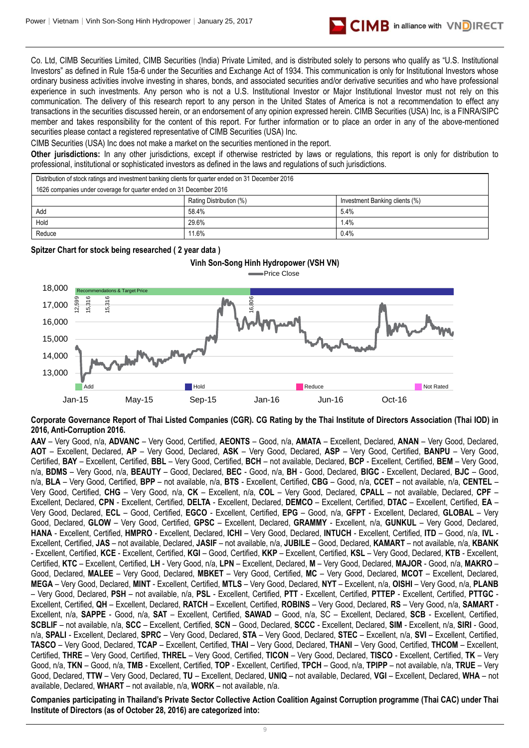

Co. Ltd, CIMB Securities Limited, CIMB Securities (India) Private Limited, and is distributed solely to persons who qualify as "U.S. Institutional Investors" as defined in Rule 15a-6 under the Securities and Exchange Act of 1934. This communication is only for Institutional Investors whose ordinary business activities involve investing in shares, bonds, and associated securities and/or derivative securities and who have professional experience in such investments. Any person who is not a U.S. Institutional Investor or Major Institutional Investor must not rely on this communication. The delivery of this research report to any person in the United States of America is not a recommendation to effect any transactions in the securities discussed herein, or an endorsement of any opinion expressed herein. CIMB Securities (USA) Inc, is a FINRA/SIPC member and takes responsibility for the content of this report. For further information or to place an order in any of the above-mentioned securities please contact a registered representative of CIMB Securities (USA) Inc.

CIMB Securities (USA) Inc does not make a market on the securities mentioned in the report.

**Other jurisdictions:** In any other jurisdictions, except if otherwise restricted by laws or regulations, this report is only for distribution to professional, institutional or sophisticated investors as defined in the laws and regulations of such jurisdictions.

| Distribution of stock ratings and investment banking clients for quarter ended on 31 December 2016 |                         |                                |  |  |
|----------------------------------------------------------------------------------------------------|-------------------------|--------------------------------|--|--|
| 1626 companies under coverage for quarter ended on 31 December 2016                                |                         |                                |  |  |
|                                                                                                    | Rating Distribution (%) | Investment Banking clients (%) |  |  |
| Add                                                                                                | 58.4%                   | 5.4%                           |  |  |
| Hold                                                                                               | 29.6%                   | 1.4%                           |  |  |
| Reduce                                                                                             | 11.6%                   | 0.4%                           |  |  |

### **Spitzer Chart for stock being researched ( 2 year data )**



**Corporate Governance Report of Thai Listed Companies (CGR). CG Rating by the Thai Institute of Directors Association (Thai IOD) in 2016, Anti-Corruption 2016.**

**AAV** – Very Good, n/a, **ADVANC** – Very Good, Certified, **AEONTS** – Good, n/a, **AMATA** – Excellent, Declared, **ANAN** – Very Good, Declared, **AOT** – Excellent, Declared, **AP** – Very Good, Declared, **ASK** – Very Good, Declared, **ASP** – Very Good, Certified, **BANPU** – Very Good, Certified, **BAY** – Excellent, Certified, **BBL** – Very Good, Certified, **BCH** – not available, Declared, **BCP** - Excellent, Certified, **BEM** – Very Good, n/a, **BDMS** – Very Good, n/a, **BEAUTY** – Good, Declared, **BEC** - Good, n/a, **BH** - Good, Declared, **BIGC** - Excellent, Declared, **BJC** – Good, n/a, **BLA** – Very Good, Certified, **BPP** – not available, n/a, **BTS** - Excellent, Certified, **CBG** – Good, n/a, **CCET** – not available, n/a, **CENTEL** – Very Good, Certified, **CHG** – Very Good, n/a, **CK** – Excellent, n/a, **COL** – Very Good, Declared, **CPALL** – not available, Declared, **CPF** – Excellent, Declared, **CPN** - Excellent, Certified, **DELTA** - Excellent, Declared, **DEMCO** – Excellent, Certified, **DTAC** – Excellent, Certified, **EA** – Very Good, Declared, **ECL** – Good, Certified, **EGCO** - Excellent, Certified, **EPG** – Good, n/a, **GFPT** - Excellent, Declared, **GLOBAL** – Very Good, Declared, **GLOW** – Very Good, Certified, **GPSC** – Excellent, Declared, **GRAMMY** - Excellent, n/a, **GUNKUL** – Very Good, Declared, **HANA** - Excellent, Certified, **HMPRO** - Excellent, Declared, **ICHI** – Very Good, Declared, **INTUCH** - Excellent, Certified, **ITD** – Good, n/a, **IVL** - Excellent, Certified, **JAS** – not available, Declared, **JASIF** – not available, n/a, **JUBILE** – Good, Declared, **KAMART** – not available, n/a, **KBANK** - Excellent, Certified, **KCE** - Excellent, Certified, **KGI** – Good, Certified, **KKP** – Excellent, Certified, **KSL** – Very Good, Declared, **KTB** - Excellent, Certified, **KTC** – Excellent, Certified, **LH** - Very Good, n/a, **LPN** – Excellent, Declared, **M** – Very Good, Declared, **MAJOR** - Good, n/a, **MAKRO** – Good, Declared, **MALEE** – Very Good, Declared, **MBKET** – Very Good, Certified, **MC** – Very Good, Declared, **MCOT** – Excellent, Declared, **MEGA** – Very Good, Declared, **MINT** - Excellent, Certified, **MTLS** – Very Good, Declared, **NYT** – Excellent, n/a, **OISHI** – Very Good, n/a, **PLANB** – Very Good, Declared, **PSH** – not available, n/a, **PSL** - Excellent, Certified, **PTT** - Excellent, Certified, **PTTEP** - Excellent, Certified, **PTTGC** - Excellent, Certified, **QH** – Excellent, Declared, **RATCH** – Excellent, Certified, **ROBINS** – Very Good, Declared, **RS** – Very Good, n/a, **SAMART** - Excellent, n/a, **SAPPE** - Good, n/a, **SAT** – Excellent, Certified, **SAWAD** – Good, n/a, SC – Excellent, Declared, **SCB** - Excellent, Certified, **SCBLIF** – not available, n/a, **SCC** – Excellent, Certified, **SCN** – Good, Declared, **SCCC** - Excellent, Declared, **SIM** - Excellent, n/a, **SIRI** - Good, n/a, **SPALI** - Excellent, Declared, **SPRC** – Very Good, Declared, **STA** – Very Good, Declared, **STEC** – Excellent, n/a, **SVI** – Excellent, Certified, **TASCO** – Very Good, Declared, **TCAP** – Excellent, Certified, **THAI** – Very Good, Declared, **THANI** – Very Good, Certified, **THCOM** – Excellent, Certified, **THRE** – Very Good, Certified, **THREL** – Very Good, Certified, **TICON** – Very Good, Declared, **TISCO** - Excellent, Certified, **TK** – Very Good, n/a, **TKN** – Good, n/a, **TMB** - Excellent, Certified, **TOP** - Excellent, Certified, **TPCH** – Good, n/a, **TPIPP** – not available, n/a, **TRUE** – Very Good, Declared, **TTW** – Very Good, Declared, **TU** – Excellent, Declared, **UNIQ** – not available, Declared, **VGI** – Excellent, Declared, **WHA** – not available, Declared, **WHART** – not available, n/a, **WORK** – not available, n/a. **INStitute of Directors (as of October 28, 2016)**<br> **Institute of Directors (as of October 28, 2018)**<br> **Institute of Directors (as of October 28, 2018)**<br> **INSTIGRATION CONTENT CONTENT CONTENT CONTENT CONTENT CONTENT CONTEN** 

**Companies participating in Thailand's Private Sector Collective Action Coalition Against Corruption programme (Thai CAC) under Thai**